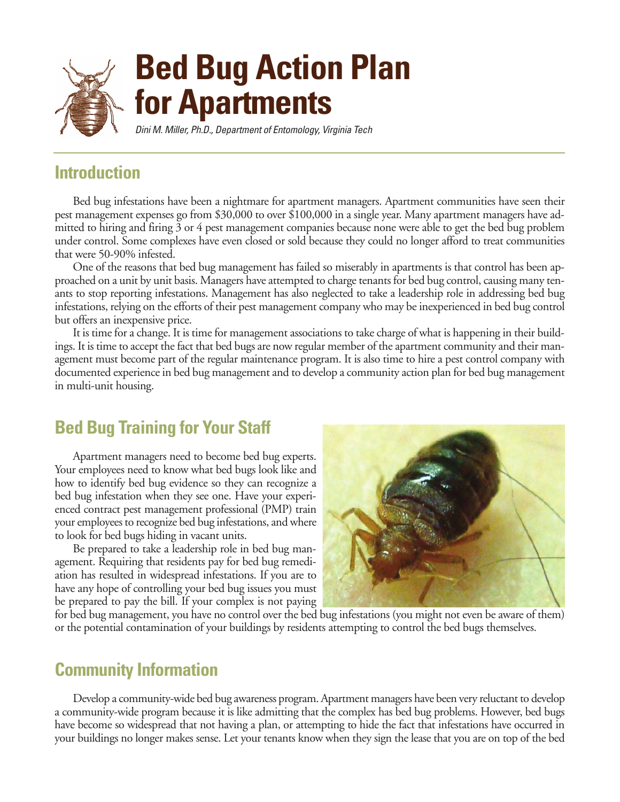

# **Introduction**

Bed bug infestations have been a nightmare for apartment managers. Apartment communities have seen their pest management expenses go from \$30,000 to over \$100,000 in a single year. Many apartment managers have admitted to hiring and firing 3 or 4 pest management companies because none were able to get the bed bug problem under control. Some complexes have even closed or sold because they could no longer afford to treat communities that were 50-90% infested.

One of the reasons that bed bug management has failed so miserably in apartments is that control has been approached on a unit by unit basis. Managers have attempted to charge tenants for bed bug control, causing many tenants to stop reporting infestations. Management has also neglected to take a leadership role in addressing bed bug infestations, relying on the efforts of their pest management company who may be inexperienced in bed bug control but offers an inexpensive price.

It is time for a change. It is time for management associations to take charge of what is happening in their buildings. It is time to accept the fact that bed bugs are now regular member of the apartment community and their management must become part of the regular maintenance program. It is also time to hire a pest control company with documented experience in bed bug management and to develop a community action plan for bed bug management in multi-unit housing.

# **Bed Bug Training for Your Staff**

Apartment managers need to become bed bug experts. Your employees need to know what bed bugs look like and how to identify bed bug evidence so they can recognize a bed bug infestation when they see one. Have your experienced contract pest management professional (PMP) train your employees to recognize bed bug infestations, and where to look for bed bugs hiding in vacant units.

Be prepared to take a leadership role in bed bug management. Requiring that residents pay for bed bug remediation has resulted in widespread infestations. If you are to have any hope of controlling your bed bug issues you must be prepared to pay the bill. If your complex is not paying



for bed bug management, you have no control over the bed bug infestations (you might not even be aware of them) or the potential contamination of your buildings by residents attempting to control the bed bugs themselves.

# **Community Information**

Develop a community-wide bed bug awareness program. Apartment managers have been very reluctant to develop a community-wide program because it is like admitting that the complex has bed bug problems. However, bed bugs have become so widespread that not having a plan, or attempting to hide the fact that infestations have occurred in your buildings no longer makes sense. Let your tenants know when they sign the lease that you are on top of the bed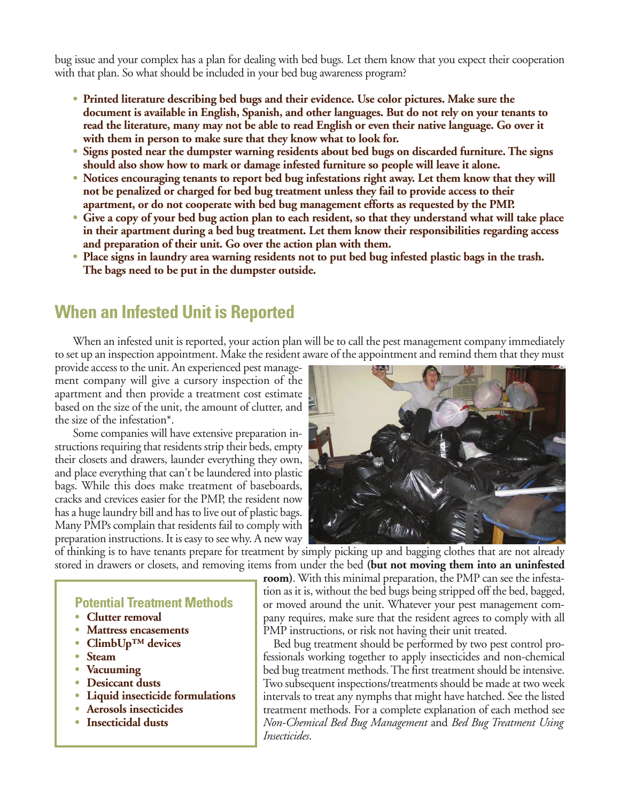bug issue and your complex has a plan for dealing with bed bugs. Let them know that you expect their cooperation with that plan. So what should be included in your bed bug awareness program?

- **• Printed literature describing bed bugs and their evidence. Use color pictures. Make sure the document is available in English, Spanish, and other languages. But do not rely on your tenants to read the literature, many may not be able to read English or even their native language. Go over it with them in person to make sure that they know what to look for.**
- **• Signs posted near the dumpster warning residents about bed bugs on discarded furniture. The signs should also show how to mark or damage infested furniture so people will leave it alone.**
- **• Notices encouraging tenants to report bed bug infestations right away. Let them know that they will not be penalized or charged for bed bug treatment unless they fail to provide access to their apartment, or do not cooperate with bed bug management efforts as requested by the PMP.**
- **• Give a copy of your bed bug action plan to each resident, so that they understand what will take place in their apartment during a bed bug treatment. Let them know their responsibilities regarding access and preparation of their unit. Go over the action plan with them.**
- **• Place signs in laundry area warning residents not to put bed bug infested plastic bags in the trash. The bags need to be put in the dumpster outside.**

# **When an Infested Unit is Reported**

When an infested unit is reported, your action plan will be to call the pest management company immediately to set up an inspection appointment. Make the resident aware of the appointment and remind them that they must

provide access to the unit. An experienced pest management company will give a cursory inspection of the apartment and then provide a treatment cost estimate based on the size of the unit, the amount of clutter, and the size of the infestation\*.

Some companies will have extensive preparation instructions requiring that residents strip their beds, empty their closets and drawers, launder everything they own, and place everything that can't be laundered into plastic bags. While this does make treatment of baseboards, cracks and crevices easier for the PMP, the resident now has a huge laundry bill and has to live out of plastic bags. Many PMPs complain that residents fail to comply with preparation instructions. It is easy to see why. A new way



of thinking is to have tenants prepare for treatment by simply picking up and bagging clothes that are not already stored in drawers or closets, and removing items from under the bed **(but not moving them into an uninfested**

#### **Potential Treatment Methods**

- **• Clutter removal**
- **• Mattress encasements**
- **• ClimbUp™ devices**
- **• Steam**
- **• Vacuuming**
- **• Desiccant dusts**
- **• Liquid insecticide formulations**
- **• Aerosols insecticides**
- **• Insecticidal dusts**

**room)**. With this minimal preparation, the PMP can see the infestation as it is, without the bed bugs being stripped off the bed, bagged, or moved around the unit. Whatever your pest management company requires, make sure that the resident agrees to comply with all PMP instructions, or risk not having their unit treated.

Bed bug treatment should be performed by two pest control professionals working together to apply insecticides and non-chemical bed bug treatment methods. The first treatment should be intensive. Two subsequent inspections/treatments should be made at two week intervals to treat any nymphs that might have hatched. See the listed treatment methods. For a complete explanation of each method see *Non-Chemical Bed Bug Management* and *Bed Bug Treatment Using Insecticides*.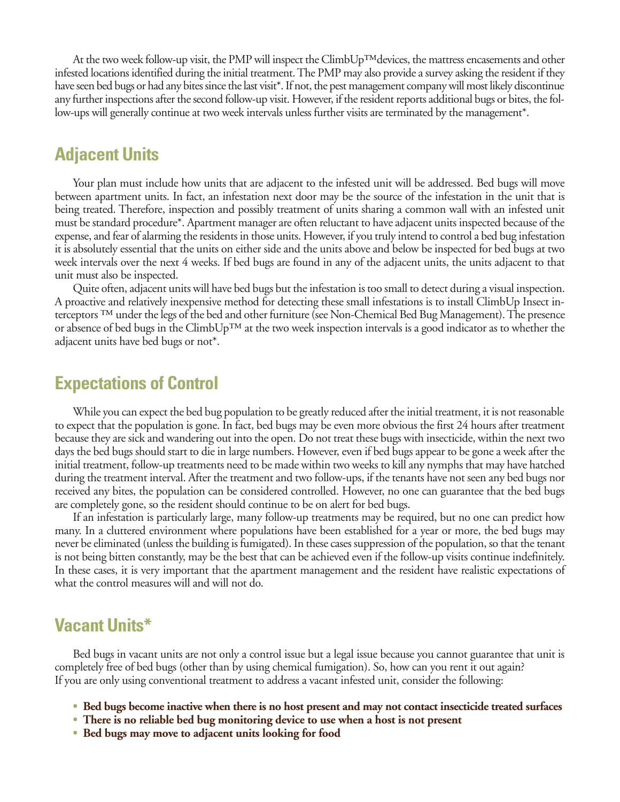At the two week follow-up visit, the PMP will inspect the ClimbUp™devices, the mattress encasements and other infested locations identified during the initial treatment. The PMP may also provide a survey asking the resident if they have seen bed bugs or had any bites since the last visit\*. If not, the pest management company will most likely discontinue any further inspections after the second follow-up visit. However, if the resident reports additional bugs or bites, the follow-ups will generally continue at two week intervals unless further visits are terminated by the management\*.

#### **Adjacent Units**

Your plan must include how units that are adjacent to the infested unit will be addressed. Bed bugs will move between apartment units. In fact, an infestation next door may be the source of the infestation in the unit that is being treated. Therefore, inspection and possibly treatment of units sharing a common wall with an infested unit must be standard procedure\*. Apartment manager are often reluctant to have adjacent units inspected because of the expense, and fear of alarming the residents in those units. However, if you truly intend to control a bed bug infestation it is absolutely essential that the units on either side and the units above and below be inspected for bed bugs at two week intervals over the next 4 weeks. If bed bugs are found in any of the adjacent units, the units adjacent to that unit must also be inspected.

Quite often, adjacent units will have bed bugs but the infestation is too small to detect during a visual inspection. A proactive and relatively inexpensive method for detecting these small infestations is to install ClimbUp Insect interceptors ™ under the legs of the bed and other furniture (see Non-Chemical Bed Bug Management). The presence or absence of bed bugs in the ClimbUp™ at the two week inspection intervals is a good indicator as to whether the adjacent units have bed bugs or not\*.

### **Expectations of Control**

While you can expect the bed bug population to be greatly reduced after the initial treatment, it is not reasonable to expect that the population is gone. In fact, bed bugs may be even more obvious the first 24 hours after treatment because they are sick and wandering out into the open. Do not treat these bugs with insecticide, within the next two days the bed bugs should start to die in large numbers. However, even if bed bugs appear to be gone a week after the initial treatment, follow-up treatments need to be made within two weeks to kill any nymphs that may have hatched during the treatment interval. After the treatment and two follow-ups, if the tenants have not seen any bed bugs nor received any bites, the population can be considered controlled. However, no one can guarantee that the bed bugs are completely gone, so the resident should continue to be on alert for bed bugs.

If an infestation is particularly large, many follow-up treatments may be required, but no one can predict how many. In a cluttered environment where populations have been established for a year or more, the bed bugs may never be eliminated (unless the building is fumigated). In these cases suppression of the population, so that the tenant is not being bitten constantly, may be the best that can be achieved even if the follow-up visits continue indefinitely. In these cases, it is very important that the apartment management and the resident have realistic expectations of what the control measures will and will not do.

#### **Vacant Units\***

Bed bugs in vacant units are not only a control issue but a legal issue because you cannot guarantee that unit is completely free of bed bugs (other than by using chemical fumigation). So, how can you rent it out again? If you are only using conventional treatment to address a vacant infested unit, consider the following:

- **• Bed bugs become inactive when there is no host present and may not contact insecticide treated surfaces**
- **• There is no reliable bed bug monitoring device to use when a host is not present**
- **• Bed bugs may move to adjacent units looking for food**